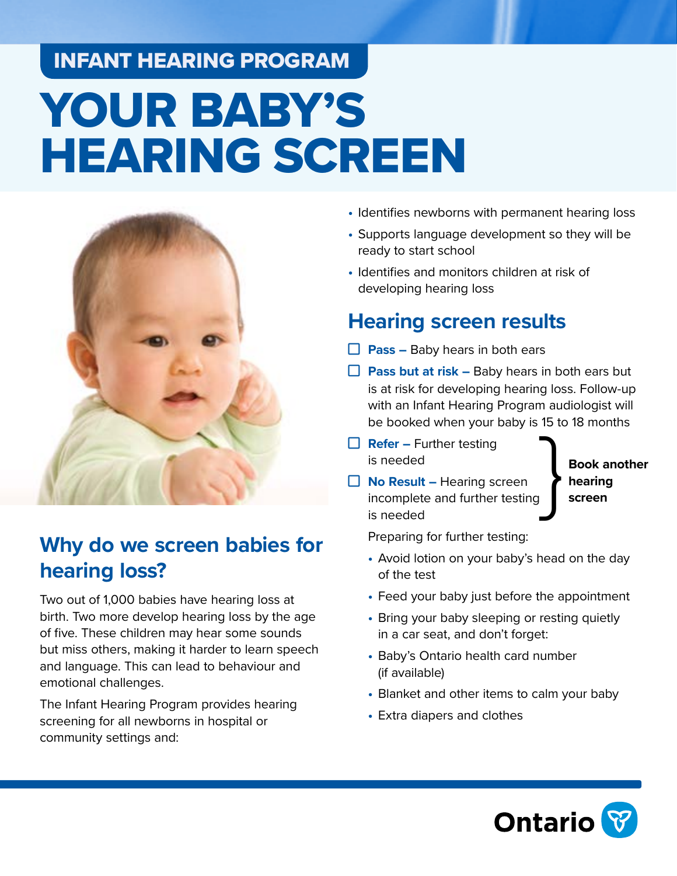### INFANT HEARING PROGRAM

# YOUR BABY'S HEARING SCREEN



#### **Why do we screen babies for hearing loss?**

Two out of 1,000 babies have hearing loss at birth. Two more develop hearing loss by the age of five. These children may hear some sounds but miss others, making it harder to learn speech and language. This can lead to behaviour and emotional challenges.

The Infant Hearing Program provides hearing screening for all newborns in hospital or community settings and:

- **•** Identifies newborns with permanent hearing loss
- **•** Supports language development so they will be ready to start school
- **•** Identifies and monitors children at risk of developing hearing loss

### **Hearing screen results**

- **Pass –** Baby hears in both ears
- **Pass but at risk –** Baby hears in both ears but is at risk for developing hearing loss. Follow-up with an Infant Hearing Program audiologist will be booked when your baby is 15 to 18 months
- $\Box$  **Refer** Further testing is needed
- **No Result –** Hearing screen **hearing** Refer – Further testing<br>
is needed<br>
No Result – Hearing screen<br>
incomplete and further testing<br>
is needed<br>
No Result – Hearing screen<br>
is needed is needed

**Book another** 

Preparing for further testing:

- **•** Avoid lotion on your baby's head on the day of the test
- **•** Feed your baby just before the appointment
- **•** Bring your baby sleeping or resting quietly in a car seat, and don't forget:
- **•** Baby's Ontario health card number (if available)
- **•** Blanket and other items to calm your baby
- **•** Extra diapers and clothes